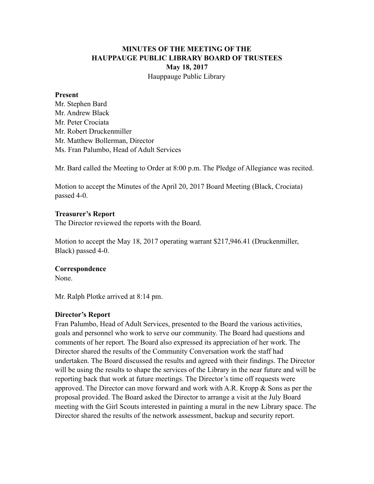# **MINUTES OF THE MEETING OF THE HAUPPAUGE PUBLIC LIBRARY BOARD OF TRUSTEES May 18, 2017** Hauppauge Public Library

#### **Present**

Mr. Stephen Bard Mr. Andrew Black Mr. Peter Crociata Mr. Robert Druckenmiller Mr. Matthew Bollerman, Director Ms. Fran Palumbo, Head of Adult Services

Mr. Bard called the Meeting to Order at 8:00 p.m. The Pledge of Allegiance was recited.

Motion to accept the Minutes of the April 20, 2017 Board Meeting (Black, Crociata) passed 4-0.

### **Treasurer's Report**

The Director reviewed the reports with the Board.

Motion to accept the May 18, 2017 operating warrant \$217,946.41 (Druckenmiller, Black) passed 4-0.

### **Correspondence**

None.

Mr. Ralph Plotke arrived at 8:14 pm.

### **Director's Report**

Fran Palumbo, Head of Adult Services, presented to the Board the various activities, goals and personnel who work to serve our community. The Board had questions and comments of her report. The Board also expressed its appreciation of her work. The Director shared the results of the Community Conversation work the staff had undertaken. The Board discussed the results and agreed with their findings. The Director will be using the results to shape the services of the Library in the near future and will be reporting back that work at future meetings. The Director's time off requests were approved. The Director can move forward and work with A.R. Kropp & Sons as per the proposal provided. The Board asked the Director to arrange a visit at the July Board meeting with the Girl Scouts interested in painting a mural in the new Library space. The Director shared the results of the network assessment, backup and security report.